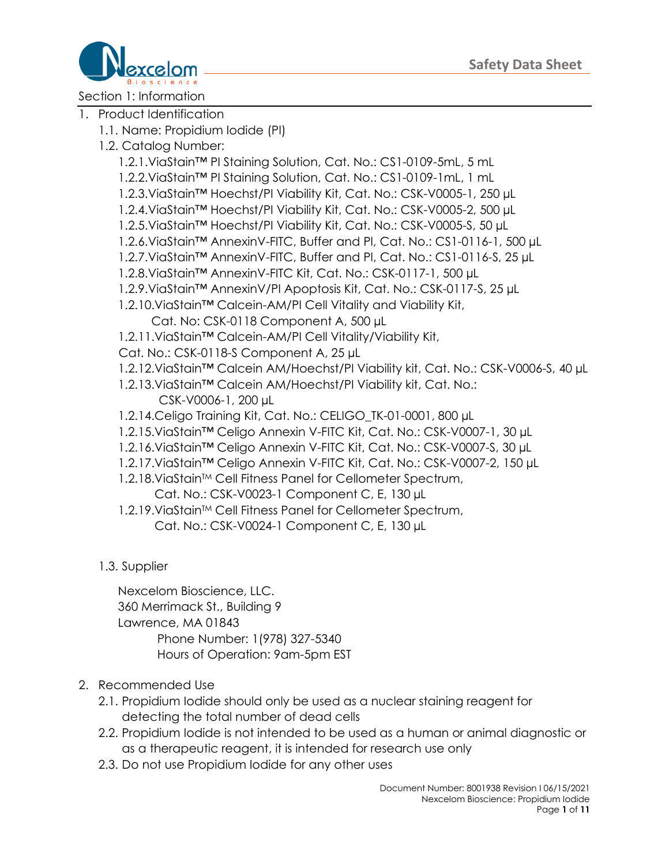

Section 1: Information

- 1. Product Identification
	- 1.1. Name: Propidium Iodide (PI)
	- 1.2. Catalog Number:
		- 1.2.1.ViaStain™ PI Staining Solution, Cat. No.: CS1-0109-5mL, 5 mL
		- 1.2.2.ViaStain™ PI Staining Solution, Cat. No.: CS1-0109-1mL, 1 mL
		- 1.2.3.ViaStain™ Hoechst/PI Viability Kit, Cat. No.: CSK-V0005-1, 250 µL
		- 1.2.4.ViaStain™ Hoechst/PI Viability Kit, Cat. No.: CSK-V0005-2, 500 µL
		- 1.2.5.ViaStain™ Hoechst/PI Viability Kit, Cat. No.: CSK-V0005-S, 50 µL
		- 1.2.6.ViaStain™ AnnexinV-FITC, Buffer and PI, Cat. No.: CS1-0116-1, 500 µL
		- 1.2.7.ViaStain™ AnnexinV-FITC, Buffer and PI, Cat. No.: CS1-0116-S, 25 µL
		- 1.2.8.ViaStain™ AnnexinV-FITC Kit, Cat. No.: CSK-0117-1, 500 µL
		- 1.2.9.ViaStain™ AnnexinV/PI Apoptosis Kit, Cat. No.: CSK-0117-S, 25 µL
		- 1.2.10.ViaStain™ Calcein-AM/PI Cell Vitality and Viability Kit,
			- Cat. No: CSK-0118 Component A, 500 µL
		- 1.2.11.ViaStain™ Calcein-AM/PI Cell Vitality/Viability Kit,
		- Cat. No.: CSK-0118-S Component A, 25 µL
		- 1.2.12.ViaStain™ Calcein AM/Hoechst/PI Viability kit, Cat. No.: CSK-V0006-S, 40 µL
		- 1.2.13.ViaStain™ Calcein AM/Hoechst/PI Viability kit, Cat. No.: CSK-V0006-1, 200 µL
		- 1.2.14.Celigo Training Kit, Cat. No.: CELIGO\_TK-01-0001, 800 µL
		- 1.2.15.ViaStain™ Celigo Annexin V-FITC Kit, Cat. No.: CSK-V0007-1, 30 µL
		- 1.2.16.ViaStain™ Celigo Annexin V-FITC Kit, Cat. No.: CSK-V0007-S, 30 µL
		- 1.2.17.ViaStain™ Celigo Annexin V-FITC Kit, Cat. No.: CSK-V0007-2, 150 µL
		- 1.2.18. ViaStain™ Cell Fitness Panel for Cellometer Spectrum,
			- Cat. No.: CSK-V0023-1 Component C, E, 130 µL
		- 1.2.19. ViaStain™ Cell Fitness Panel for Cellometer Spectrum, Cat. No.: CSK-V0024-1 Component C, E, 130 µL

### 1.3. Supplier

Nexcelom Bioscience, LLC. 360 Merrimack St., Building 9 Lawrence, MA 01843 Phone Number: 1(978) 327-5340 Hours of Operation: 9am-5pm EST

- 2. Recommended Use
	- 2.1. Propidium Iodide should only be used as a nuclear staining reagent for detecting the total number of dead cells
	- 2.2. Propidium Iodide is not intended to be used as a human or animal diagnostic or as a therapeutic reagent, it is intended for research use only
	- 2.3. Do not use Propidium Iodide for any other uses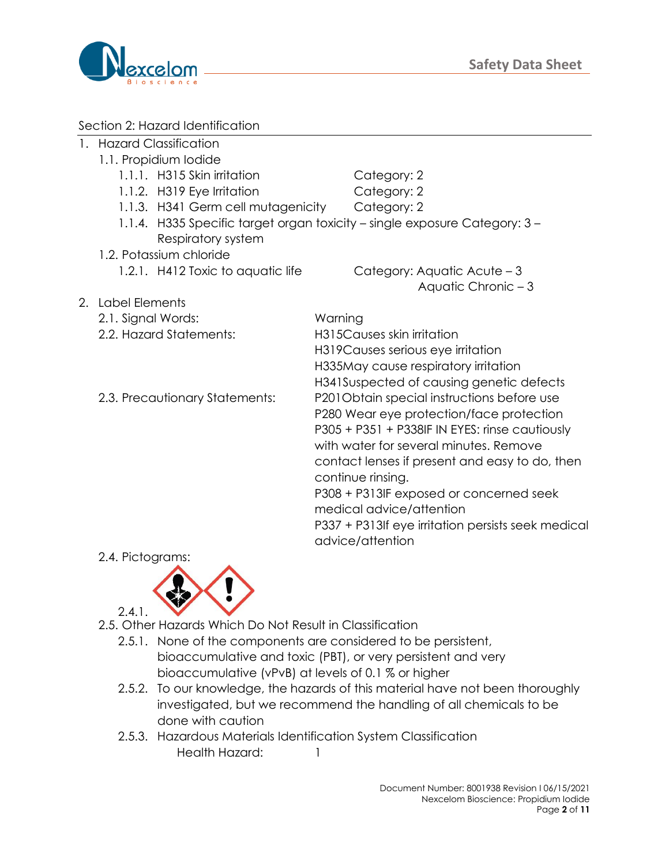



### Section 2: Hazard Identification

- 1. Hazard Classification
	- 1.1. Propidium Iodide
		- 1.1.1. H315 Skin irritation Category: 2
		- 1.1.2. H319 Eye Irritation Category: 2
			-
		- 1.1.3. H341 Germ cell mutagenicity Category: 2
		- 1.1.4. H335 Specific target organ toxicity single exposure Category: 3 Respiratory system
		- 1.2. Potassium chloride 1.2.1. H412 Toxic to aquatic life Category: Aquatic Acute – 3
- 2. Label Elements
	- 2.1. Signal Words: Warning
	- 2.2. Hazard Statements: H315Causes skin irritation
	-

H319Causes serious eye irritation H335May cause respiratory irritation H341Suspected of causing genetic defects 2.3. Precautionary Statements: P201Obtain special instructions before use P280 Wear eye protection/face protection P305 + P351 + P338IF IN EYES: rinse cautiously with water for several minutes. Remove contact lenses if present and easy to do, then continue rinsing. P308 + P313IF exposed or concerned seek medical advice/attention

Aquatic Chronic – 3

P337 + P313If eye irritation persists seek medical

advice/attention

2.4. Pictograms:



- 2.5. Other Hazards Which Do Not Result in Classification
	- 2.5.1. None of the components are considered to be persistent, bioaccumulative and toxic (PBT), or very persistent and very bioaccumulative (vPvB) at levels of 0.1 % or higher
	- 2.5.2. To our knowledge, the hazards of this material have not been thoroughly investigated, but we recommend the handling of all chemicals to be done with caution
	- 2.5.3. Hazardous Materials Identification System Classification Health Hazard: 1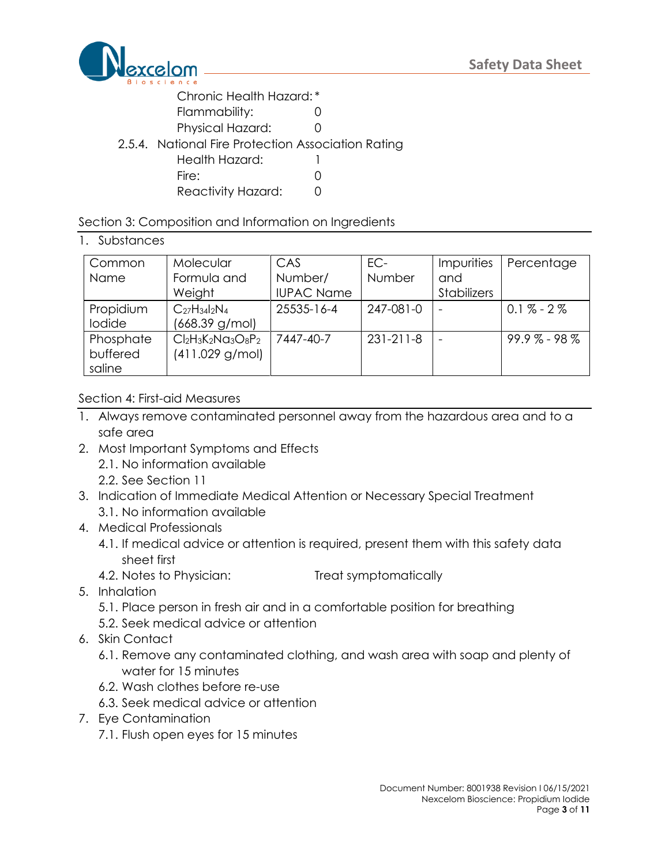

Chronic Health Hazard: \*

- Flammability: 0
- Physical Hazard: 0
- 2.5.4. National Fire Protection Association Rating

| Health Hazard: |  |
|----------------|--|
|----------------|--|

Fire: 0

Reactivity Hazard: 0

# Section 3: Composition and Information on Ingredients

# 1. Substances

| Common<br>Name                  | Molecular<br>Formula and               | CAS<br>Number/    | EC-<br>Number   | <b>Impurities</b><br>and | Percentage     |
|---------------------------------|----------------------------------------|-------------------|-----------------|--------------------------|----------------|
|                                 | Weight                                 | <b>IUPAC Name</b> |                 | Stabilizers              |                |
| Propidium<br>lodide             | $C_{27}H_{34}I_2N_4$<br>(668.39 g/mol) | 25535-16-4        | 247-081-0       | $\overline{\phantom{a}}$ | $0.1\% - 2\%$  |
| Phosphate<br>buffered<br>saline | $Cl2H3K2NG3O8P2$<br>$(411.029$ g/mol)  | 7447-40-7         | $231 - 211 - 8$ | $\overline{\phantom{0}}$ | $99.9\%$ - 98% |

# Section 4: First-aid Measures

- 1. Always remove contaminated personnel away from the hazardous area and to a safe area
- 2. Most Important Symptoms and Effects 2.1. No information available 2.2. See Section 11
- 3. Indication of Immediate Medical Attention or Necessary Special Treatment 3.1. No information available
- 4. Medical Professionals
	- 4.1. If medical advice or attention is required, present them with this safety data sheet first
	- 4.2. Notes to Physician: Treat symptomatically
- 5. Inhalation
	- 5.1. Place person in fresh air and in a comfortable position for breathing
	- 5.2. Seek medical advice or attention
- 6. Skin Contact
	- 6.1. Remove any contaminated clothing, and wash area with soap and plenty of water for 15 minutes
	- 6.2. Wash clothes before re-use
	- 6.3. Seek medical advice or attention
- 7. Eye Contamination
	- 7.1. Flush open eyes for 15 minutes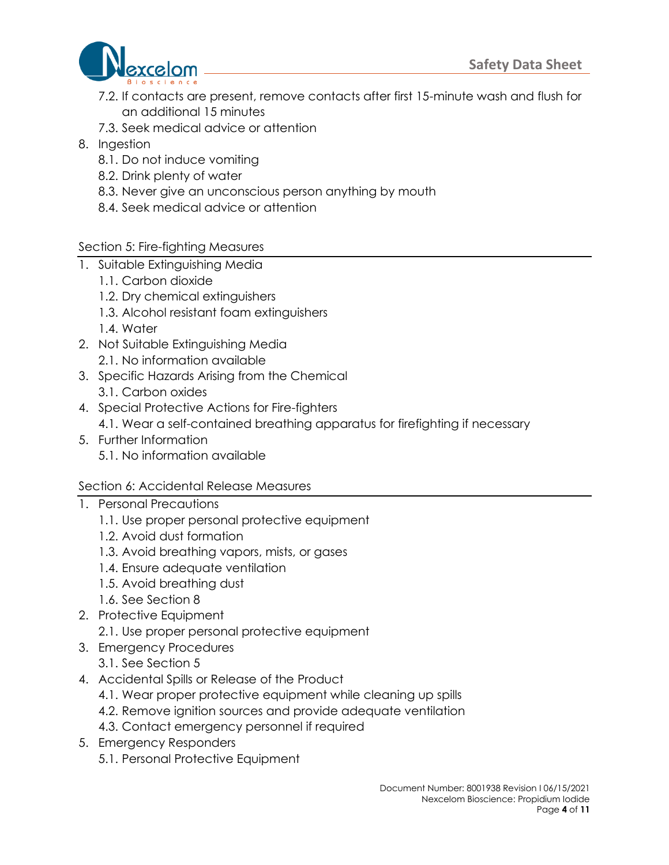

- 7.2. If contacts are present, remove contacts after first 15-minute wash and flush for an additional 15 minutes
- 7.3. Seek medical advice or attention
- 8. Ingestion
	- 8.1. Do not induce vomiting
	- 8.2. Drink plenty of water
	- 8.3. Never give an unconscious person anything by mouth
	- 8.4. Seek medical advice or attention
- Section 5: Fire-fighting Measures
- 1. Suitable Extinguishing Media
	- 1.1. Carbon dioxide
	- 1.2. Dry chemical extinguishers
	- 1.3. Alcohol resistant foam extinguishers
	- 1.4. Water
- 2. Not Suitable Extinguishing Media 2.1. No information available
- 3. Specific Hazards Arising from the Chemical
	- 3.1. Carbon oxides
- 4. Special Protective Actions for Fire-fighters 4.1. Wear a self-contained breathing apparatus for firefighting if necessary
- 5. Further Information 5.1. No information available

# Section 6: Accidental Release Measures

- 1. Personal Precautions
	- 1.1. Use proper personal protective equipment
	- 1.2. Avoid dust formation
	- 1.3. Avoid breathing vapors, mists, or gases
	- 1.4. Ensure adequate ventilation
	- 1.5. Avoid breathing dust
	- 1.6. See Section 8
- 2. Protective Equipment
	- 2.1. Use proper personal protective equipment
- 3. Emergency Procedures
	- 3.1. See Section 5
- 4. Accidental Spills or Release of the Product
	- 4.1. Wear proper protective equipment while cleaning up spills
	- 4.2. Remove ignition sources and provide adequate ventilation
	- 4.3. Contact emergency personnel if required
- 5. Emergency Responders
	- 5.1. Personal Protective Equipment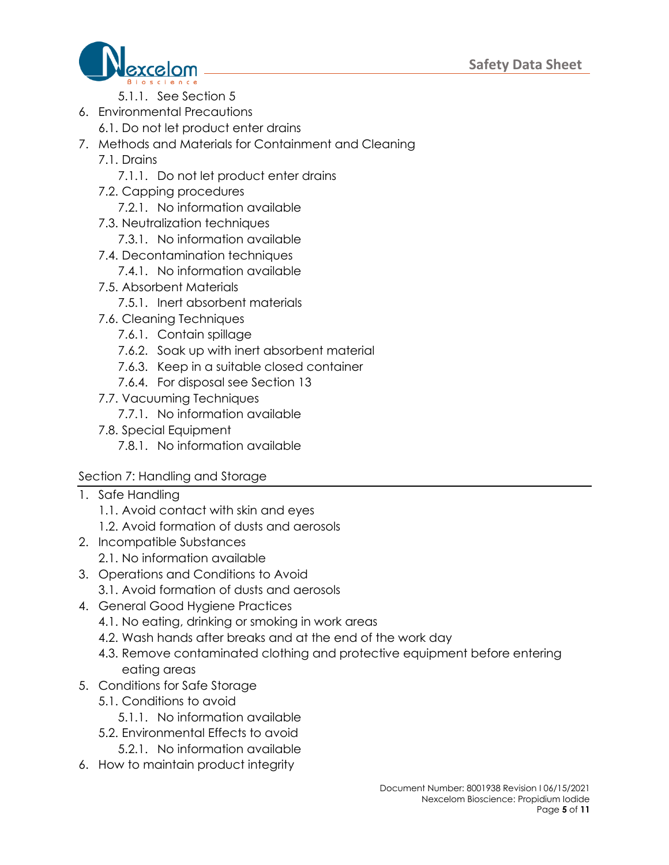

- 5.1.1. See Section 5
- 6. Environmental Precautions
	- 6.1. Do not let product enter drains
- 7. Methods and Materials for Containment and Cleaning
	- 7.1. Drains
		- 7.1.1. Do not let product enter drains
	- 7.2. Capping procedures
		- 7.2.1. No information available
	- 7.3. Neutralization techniques
		- 7.3.1. No information available
	- 7.4. Decontamination techniques
		- 7.4.1. No information available
	- 7.5. Absorbent Materials
		- 7.5.1. Inert absorbent materials
	- 7.6. Cleaning Techniques
		- 7.6.1. Contain spillage
		- 7.6.2. Soak up with inert absorbent material
		- 7.6.3. Keep in a suitable closed container
		- 7.6.4. For disposal see Section 13
	- 7.7. Vacuuming Techniques
		- 7.7.1. No information available
	- 7.8. Special Equipment
		- 7.8.1. No information available

# Section 7: Handling and Storage

- 1. Safe Handling
	- 1.1. Avoid contact with skin and eyes
	- 1.2. Avoid formation of dusts and aerosols
- 2. Incompatible Substances
	- 2.1. No information available
- 3. Operations and Conditions to Avoid
	- 3.1. Avoid formation of dusts and aerosols
- 4. General Good Hygiene Practices
	- 4.1. No eating, drinking or smoking in work areas
	- 4.2. Wash hands after breaks and at the end of the work day
	- 4.3. Remove contaminated clothing and protective equipment before entering eating areas
- 5. Conditions for Safe Storage
	- 5.1. Conditions to avoid
		- 5.1.1. No information available
	- 5.2. Environmental Effects to avoid
		- 5.2.1. No information available
- 6. How to maintain product integrity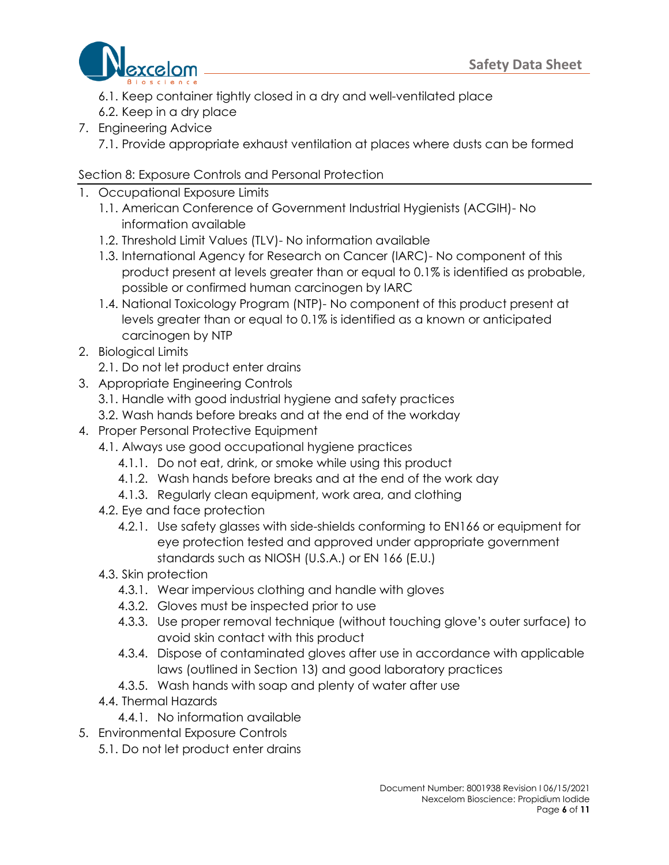

- 6.1. Keep container tightly closed in a dry and well-ventilated place
- 6.2. Keep in a dry place
- 7. Engineering Advice
	- 7.1. Provide appropriate exhaust ventilation at places where dusts can be formed

# Section 8: Exposure Controls and Personal Protection

- 1. Occupational Exposure Limits
	- 1.1. American Conference of Government Industrial Hygienists (ACGIH)- No information available
	- 1.2. Threshold Limit Values (TLV)- No information available
	- 1.3. International Agency for Research on Cancer (IARC)- No component of this product present at levels greater than or equal to 0.1% is identified as probable, possible or confirmed human carcinogen by IARC
	- 1.4. National Toxicology Program (NTP)- No component of this product present at levels greater than or equal to 0.1% is identified as a known or anticipated carcinogen by NTP
- 2. Biological Limits
	- 2.1. Do not let product enter drains
- 3. Appropriate Engineering Controls
	- 3.1. Handle with good industrial hygiene and safety practices
	- 3.2. Wash hands before breaks and at the end of the workday
- 4. Proper Personal Protective Equipment
	- 4.1. Always use good occupational hygiene practices
		- 4.1.1. Do not eat, drink, or smoke while using this product
		- 4.1.2. Wash hands before breaks and at the end of the work day
		- 4.1.3. Regularly clean equipment, work area, and clothing
		- 4.2. Eye and face protection
			- 4.2.1. Use safety glasses with side-shields conforming to EN166 or equipment for eye protection tested and approved under appropriate government standards such as NIOSH (U.S.A.) or EN 166 (E.U.)
		- 4.3. Skin protection
			- 4.3.1. Wear impervious clothing and handle with gloves
			- 4.3.2. Gloves must be inspected prior to use
			- 4.3.3. Use proper removal technique (without touching glove's outer surface) to avoid skin contact with this product
			- 4.3.4. Dispose of contaminated gloves after use in accordance with applicable laws (outlined in Section 13) and good laboratory practices
			- 4.3.5. Wash hands with soap and plenty of water after use
		- 4.4. Thermal Hazards
			- 4.4.1. No information available
- 5. Environmental Exposure Controls
	- 5.1. Do not let product enter drains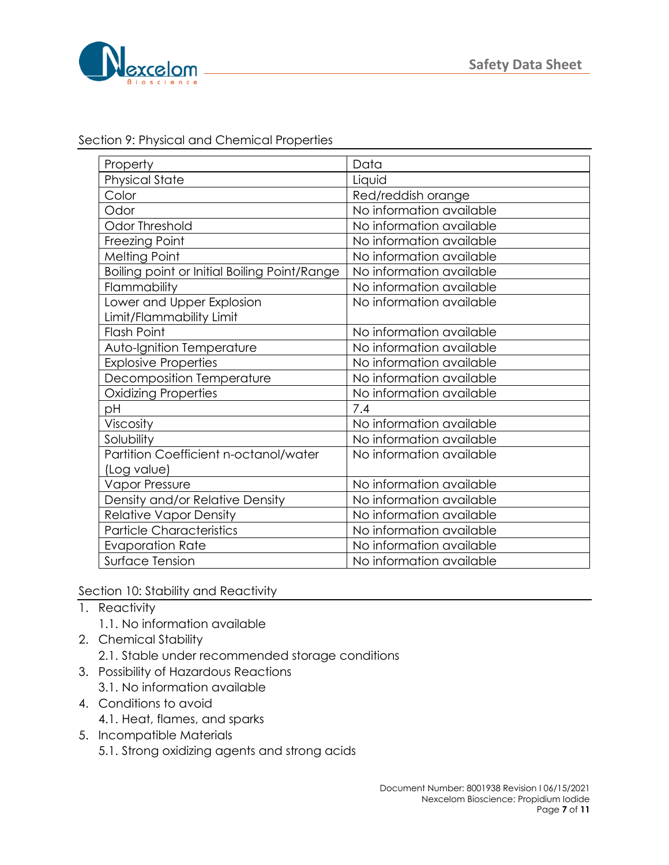

| Section 9: Physical and Chemical Properties |  |  |
|---------------------------------------------|--|--|
|                                             |  |  |

| Property                                     | Data                     |
|----------------------------------------------|--------------------------|
| <b>Physical State</b>                        | Liquid                   |
| Color                                        | Red/reddish orange       |
| Odor                                         | No information available |
| <b>Odor Threshold</b>                        | No information available |
| Freezing Point                               | No information available |
| <b>Melting Point</b>                         | No information available |
| Boiling point or Initial Boiling Point/Range | No information available |
| Flammability                                 | No information available |
| Lower and Upper Explosion                    | No information available |
| Limit/Flammability Limit                     |                          |
| <b>Flash Point</b>                           | No information available |
| Auto-Ignition Temperature                    | No information available |
| <b>Explosive Properties</b>                  | No information available |
| Decomposition Temperature                    | No information available |
| <b>Oxidizing Properties</b>                  | No information available |
| рH                                           | 7.4                      |
| Viscosity                                    | No information available |
| Solubility                                   | No information available |
| Partition Coefficient n-octanol/water        | No information available |
| (Log value)                                  |                          |
| <b>Vapor Pressure</b>                        | No information available |
| Density and/or Relative Density              | No information available |
| <b>Relative Vapor Density</b>                | No information available |
| <b>Particle Characteristics</b>              | No information available |
| <b>Evaporation Rate</b>                      | No information available |
| Surface Tension                              | No information available |

Section 10: Stability and Reactivity

- 1. Reactivity
	- 1.1. No information available
- 2. Chemical Stability
	- 2.1. Stable under recommended storage conditions
- 3. Possibility of Hazardous Reactions
	- 3.1. No information available
- 4. Conditions to avoid
	- 4.1. Heat, flames, and sparks
- 5. Incompatible Materials
	- 5.1. Strong oxidizing agents and strong acids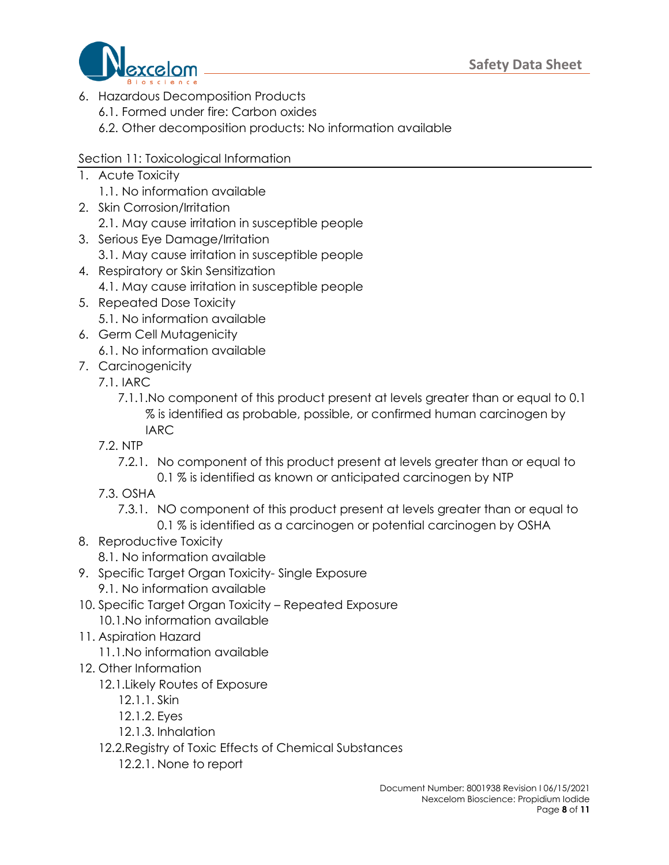

- 6. Hazardous Decomposition Products
	- 6.1. Formed under fire: Carbon oxides
	- 6.2. Other decomposition products: No information available

# Section 11: Toxicological Information

- 1. Acute Toxicity
	- 1.1. No information available
- 2. Skin Corrosion/Irritation
	- 2.1. May cause irritation in susceptible people
- 3. Serious Eye Damage/Irritation
	- 3.1. May cause irritation in susceptible people
- 4. Respiratory or Skin Sensitization
	- 4.1. May cause irritation in susceptible people
- 5. Repeated Dose Toxicity 5.1. No information available
- 6. Germ Cell Mutagenicity 6.1. No information available
- 7. Carcinogenicity
	- 7.1. IARC
		- 7.1.1.No component of this product present at levels greater than or equal to 0.1 % is identified as probable, possible, or confirmed human carcinogen by IARC
	- 7.2. NTP
		- 7.2.1. No component of this product present at levels greater than or equal to 0.1 % is identified as known or anticipated carcinogen by NTP
	- 7.3. OSHA
		- 7.3.1. NO component of this product present at levels greater than or equal to
			- 0.1 % is identified as a carcinogen or potential carcinogen by OSHA
- 8. Reproductive Toxicity

8.1. No information available

- 9. Specific Target Organ Toxicity- Single Exposure
	- 9.1. No information available
- 10. Specific Target Organ Toxicity Repeated Exposure
	- 10.1.No information available
- 11. Aspiration Hazard

11.1.No information available

- 12. Other Information
	- 12.1.Likely Routes of Exposure
		- 12.1.1. Skin
		- 12.1.2. Eyes
		- 12.1.3. Inhalation
	- 12.2.Registry of Toxic Effects of Chemical Substances
		- 12.2.1. None to report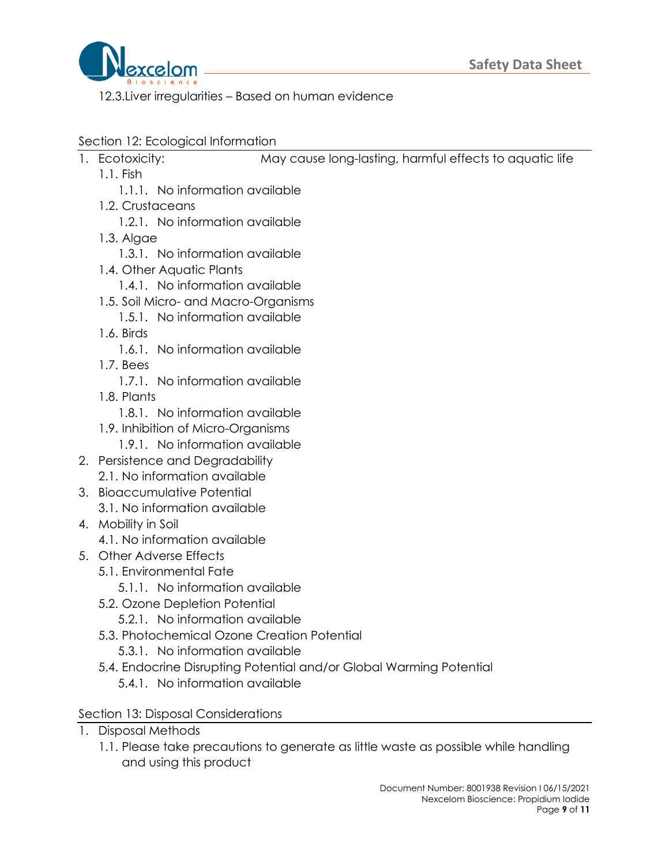

12.3.Liver irregularities – Based on human evidence

- Section 12: Ecological Information
- 1. Ecotoxicity: May cause long-lasting, harmful effects to aquatic life
	- 1.1. Fish
		- 1.1.1. No information available
		- 1.2. Crustaceans
			- 1.2.1. No information available
		- 1.3. Algae
			- 1.3.1. No information available
		- 1.4. Other Aquatic Plants
			- 1.4.1. No information available
		- 1.5. Soil Micro- and Macro-Organisms
			- 1.5.1. No information available
		- 1.6. Birds
			- 1.6.1. No information available
		- 1.7. Bees
			- 1.7.1. No information available
		- 1.8. Plants
			- 1.8.1. No information available
		- 1.9. Inhibition of Micro-Organisms
			- 1.9.1. No information available
- 2. Persistence and Degradability 2.1. No information available
- 3. Bioaccumulative Potential 3.1. No information available
- 4. Mobility in Soil
	- 4.1. No information available
- 5. Other Adverse Effects
	- 5.1. Environmental Fate
		- 5.1.1. No information available
	- 5.2. Ozone Depletion Potential
		- 5.2.1. No information available
	- 5.3. Photochemical Ozone Creation Potential
		- 5.3.1. No information available
	- 5.4. Endocrine Disrupting Potential and/or Global Warming Potential 5.4.1. No information available
- Section 13: Disposal Considerations
- 1. Disposal Methods
	- 1.1. Please take precautions to generate as little waste as possible while handling and using this product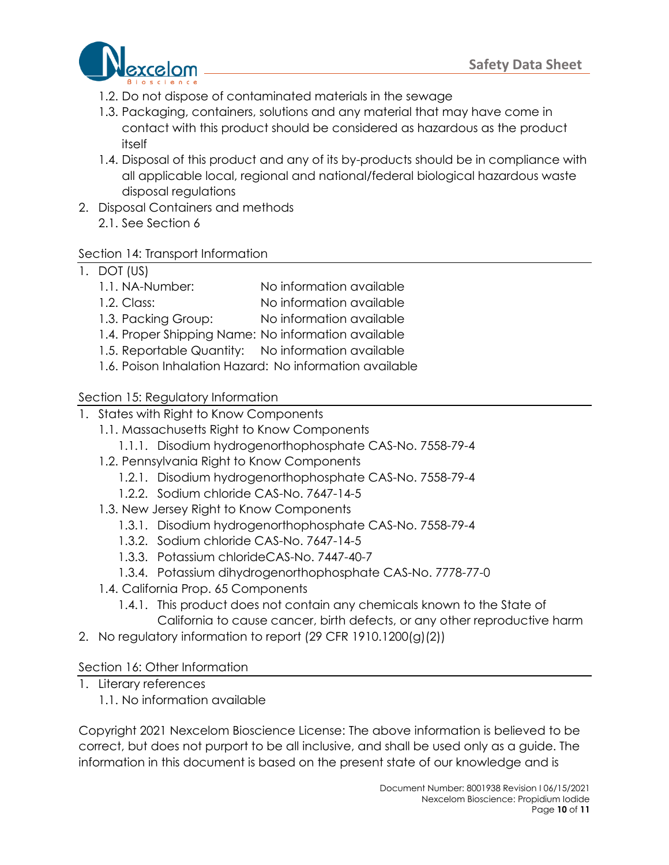

- 1.2. Do not dispose of contaminated materials in the sewage
- 1.3. Packaging, containers, solutions and any material that may have come in contact with this product should be considered as hazardous as the product itself
- 1.4. Disposal of this product and any of its by-products should be in compliance with all applicable local, regional and national/federal biological hazardous waste disposal regulations
- 2. Disposal Containers and methods 2.1. See Section 6

# Section 14: Transport Information

# 1. DOT (US)

- 1.1. NA-Number: No information available
- 1.2. Class: No information available
- 1.3. Packing Group: No information available
- 1.4. Proper Shipping Name: No information available
- 1.5. Reportable Quantity: No information available
- 1.6. Poison Inhalation Hazard: No information available

# Section 15: Regulatory Information

- 1. States with Right to Know Components
	- 1.1. Massachusetts Right to Know Components
		- 1.1.1. Disodium hydrogenorthophosphate CAS-No. 7558-79-4
	- 1.2. Pennsylvania Right to Know Components
		- 1.2.1. Disodium hydrogenorthophosphate CAS-No. 7558-79-4
		- 1.2.2. Sodium chloride CAS-No. 7647-14-5
	- 1.3. New Jersey Right to Know Components
		- 1.3.1. Disodium hydrogenorthophosphate CAS-No. 7558-79-4
		- 1.3.2. Sodium chloride CAS-No. 7647-14-5
		- 1.3.3. Potassium chlorideCAS-No. 7447-40-7
		- 1.3.4. Potassium dihydrogenorthophosphate CAS-No. 7778-77-0
	- 1.4. California Prop. 65 Components
		- 1.4.1. This product does not contain any chemicals known to the State of California to cause cancer, birth defects, or any other reproductive harm
- 2. No regulatory information to report (29 CFR 1910.1200(g)(2))

### Section 16: Other Information

- 1. Literary references
	- 1.1. No information available

Copyright 2021 Nexcelom Bioscience License: The above information is believed to be correct, but does not purport to be all inclusive, and shall be used only as a guide. The information in this document is based on the present state of our knowledge and is